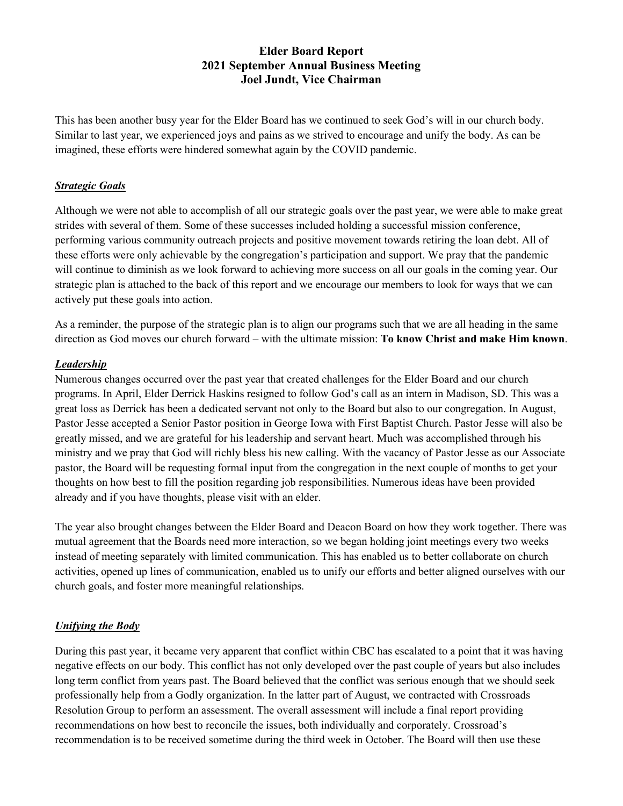# **Elder Board Report 2021 September Annual Business Meeting Joel Jundt, Vice Chairman**

This has been another busy year for the Elder Board has we continued to seek God's will in our church body. Similar to last year, we experienced joys and pains as we strived to encourage and unify the body. As can be imagined, these efforts were hindered somewhat again by the COVID pandemic.

#### *Strategic Goals*

Although we were not able to accomplish of all our strategic goals over the past year, we were able to make great strides with several of them. Some of these successes included holding a successful mission conference, performing various community outreach projects and positive movement towards retiring the loan debt. All of these efforts were only achievable by the congregation's participation and support. We pray that the pandemic will continue to diminish as we look forward to achieving more success on all our goals in the coming year. Our strategic plan is attached to the back of this report and we encourage our members to look for ways that we can actively put these goals into action.

As a reminder, the purpose of the strategic plan is to align our programs such that we are all heading in the same direction as God moves our church forward – with the ultimate mission: **To know Christ and make Him known**.

### *Leadership*

Numerous changes occurred over the past year that created challenges for the Elder Board and our church programs. In April, Elder Derrick Haskins resigned to follow God's call as an intern in Madison, SD. This was a great loss as Derrick has been a dedicated servant not only to the Board but also to our congregation. In August, Pastor Jesse accepted a Senior Pastor position in George Iowa with First Baptist Church. Pastor Jesse will also be greatly missed, and we are grateful for his leadership and servant heart. Much was accomplished through his ministry and we pray that God will richly bless his new calling. With the vacancy of Pastor Jesse as our Associate pastor, the Board will be requesting formal input from the congregation in the next couple of months to get your thoughts on how best to fill the position regarding job responsibilities. Numerous ideas have been provided already and if you have thoughts, please visit with an elder.

The year also brought changes between the Elder Board and Deacon Board on how they work together. There was mutual agreement that the Boards need more interaction, so we began holding joint meetings every two weeks instead of meeting separately with limited communication. This has enabled us to better collaborate on church activities, opened up lines of communication, enabled us to unify our efforts and better aligned ourselves with our church goals, and foster more meaningful relationships.

### *Unifying the Body*

During this past year, it became very apparent that conflict within CBC has escalated to a point that it was having negative effects on our body. This conflict has not only developed over the past couple of years but also includes long term conflict from years past. The Board believed that the conflict was serious enough that we should seek professionally help from a Godly organization. In the latter part of August, we contracted with Crossroads Resolution Group to perform an assessment. The overall assessment will include a final report providing recommendations on how best to reconcile the issues, both individually and corporately. Crossroad's recommendation is to be received sometime during the third week in October. The Board will then use these